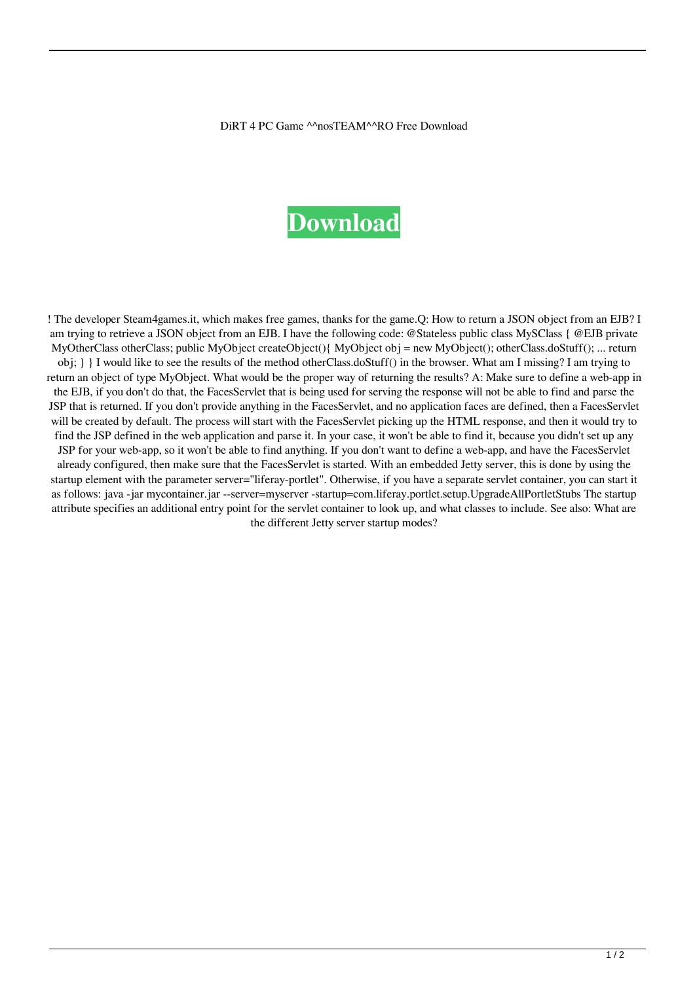DiRT 4 PC Game ^^nosTEAM^^RO Free Download

## **[Download](http://evacdir.com/cindy.unquestioning?appetizers=RGlSVCA0IFBDIEdhbWUgXl5ub3NURUFNXl5STyBGcmVlIERvd25sb2FkRGl/flanger/monocrystaline/ZG93bmxvYWR8blowTW1SalpIeDhNVFkxTWpRMk16QTFNSHg4TWpVM05IeDhLRTBwSUhKbFlXUXRZbXh2WnlCYlJtRnpkQ0JIUlU1ZA.northamptonshire)**

! The developer Steam4games.it, which makes free games, thanks for the game.Q: How to return a JSON object from an EJB? I am trying to retrieve a JSON object from an EJB. I have the following code: @Stateless public class MySClass { @EJB private MyOtherClass otherClass; public MyObject createObject(){ MyObject obj = new MyObject(); otherClass.doStuff(); ... return obj; } } I would like to see the results of the method otherClass.doStuff() in the browser. What am I missing? I am trying to return an object of type MyObject. What would be the proper way of returning the results? A: Make sure to define a web-app in the EJB, if you don't do that, the FacesServlet that is being used for serving the response will not be able to find and parse the JSP that is returned. If you don't provide anything in the FacesServlet, and no application faces are defined, then a FacesServlet will be created by default. The process will start with the FacesServlet picking up the HTML response, and then it would try to find the JSP defined in the web application and parse it. In your case, it won't be able to find it, because you didn't set up any JSP for your web-app, so it won't be able to find anything. If you don't want to define a web-app, and have the FacesServlet already configured, then make sure that the FacesServlet is started. With an embedded Jetty server, this is done by using the startup element with the parameter server="liferay-portlet". Otherwise, if you have a separate servlet container, you can start it as follows: java -jar mycontainer.jar --server=myserver -startup=com.liferay.portlet.setup.UpgradeAllPortletStubs The startup attribute specifies an additional entry point for the servlet container to look up, and what classes to include. See also: What are the different Jetty server startup modes?